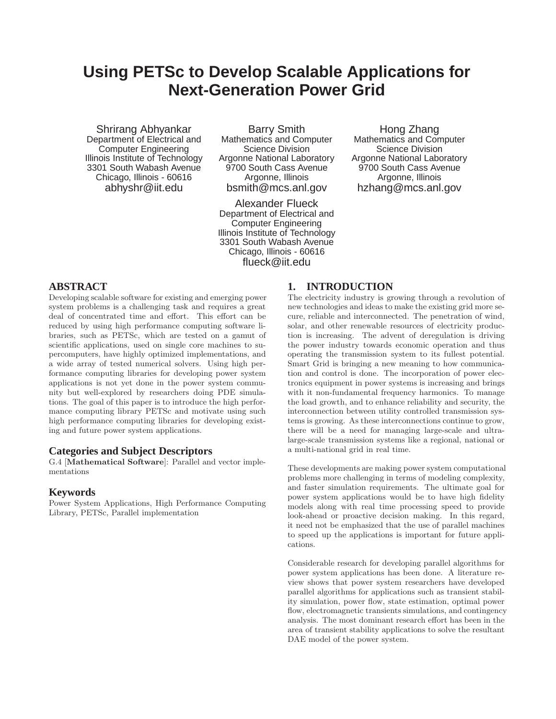# **Using PETSc to Develop Scalable Applications for Next-Generation Power Grid**

Shrirang Abhyankar Department of Electrical and Computer Engineering Illinois Institute of Technology 3301 South Wabash Avenue Chicago, Illinois - 60616 abhyshr@iit.edu

Barry Smith Mathematics and Computer Science Division Argonne National Laboratory 9700 South Cass Avenue Argonne, Illinois bsmith@mcs.anl.gov

Alexander Flueck Department of Electrical and Computer Engineering Illinois Institute of Technology 3301 South Wabash Avenue Chicago, Illinois - 60616 flueck@iit.edu

Hong Zhang Mathematics and Computer Science Division Argonne National Laboratory 9700 South Cass Avenue Argonne, Illinois hzhang@mcs.anl.gov

### **ABSTRACT**

Developing scalable software for existing and emerging power system problems is a challenging task and requires a great deal of concentrated time and effort. This effort can be reduced by using high performance computing software libraries, such as PETSc, which are tested on a gamut of scientific applications, used on single core machines to supercomputers, have highly optimized implementations, and a wide array of tested numerical solvers. Using high performance computing libraries for developing power system applications is not yet done in the power system community but well-explored by researchers doing PDE simulations. The goal of this paper is to introduce the high performance computing library PETSc and motivate using such high performance computing libraries for developing existing and future power system applications.

### **Categories and Subject Descriptors**

G.4 [Mathematical Software]: Parallel and vector implementations

#### **Keywords**

Power System Applications, High Performance Computing Library, PETSc, Parallel implementation

### **1. INTRODUCTION**

The electricity industry is growing through a revolution of new technologies and ideas to make the existing grid more secure, reliable and interconnected. The penetration of wind, solar, and other renewable resources of electricity production is increasing. The advent of deregulation is driving the power industry towards economic operation and thus operating the transmission system to its fullest potential. Smart Grid is bringing a new meaning to how communication and control is done. The incorporation of power electronics equipment in power systems is increasing and brings with it non-fundamental frequency harmonics. To manage the load growth, and to enhance reliability and security, the interconnection between utility controlled transmission systems is growing. As these interconnections continue to grow, there will be a need for managing large-scale and ultralarge-scale transmission systems like a regional, national or a multi-national grid in real time.

These developments are making power system computational problems more challenging in terms of modeling complexity, and faster simulation requirements. The ultimate goal for power system applications would be to have high fidelity models along with real time processing speed to provide look-ahead or proactive decision making. In this regard, it need not be emphasized that the use of parallel machines to speed up the applications is important for future applications.

Considerable research for developing parallel algorithms for power system applications has been done. A literature review shows that power system researchers have developed parallel algorithms for applications such as transient stability simulation, power flow, state estimation, optimal power flow, electromagnetic transients simulations, and contingency analysis. The most dominant research effort has been in the area of transient stability applications to solve the resultant DAE model of the power system.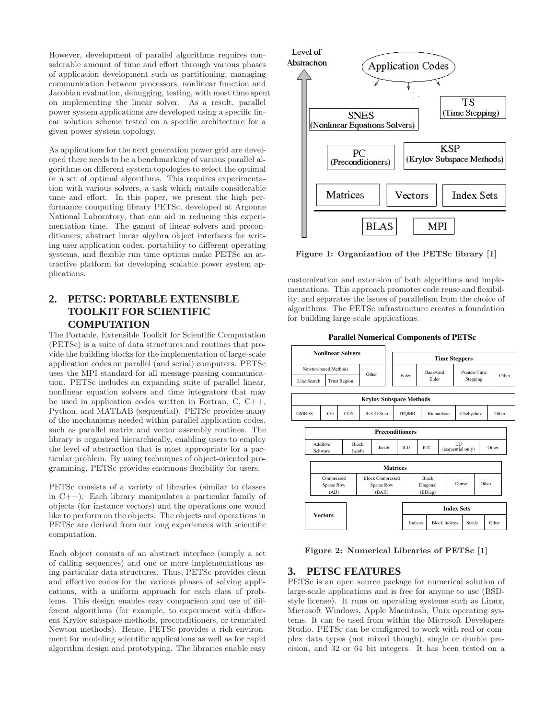However, development of parallel algorithms requires considerable amount of time and effort through various phases of application development such as partitioning, managing communication between processors, nonlinear function and Jacobian evaluation, debugging, testing, with most time spent on implementing the linear solver. As a result, parallel power system applications are developed using a specific linear solution scheme tested on a specific architecture for a given power system topology.

As applications for the next generation power grid are developed there needs to be a benchmarking of various parallel algorithms on different system topologies to select the optimal or a set of optimal algorithms. This requires experimentation with various solvers, a task which entails considerable time and effort. In this paper, we present the high performance computing library PETSc, developed at Argonne National Laboratory, that can aid in reducing this experimentation time. The gamut of linear solvers and preconditioners, abstract linear algebra object interfaces for writing user application codes, portability to different operating systems, and flexible run time options make PETSc an attractive platform for developing scalable power system applications.

# **2. PETSC: PORTABLE EXTENSIBLE TOOLKIT FOR SCIENTIFIC COMPUTATION**

The Portable, Extensible Toolkit for Scientific Computation (PETSc) is a suite of data structures and routines that provide the building blocks for the implementation of large-scale application codes on parallel (and serial) computers. PETSc uses the MPI standard for all message-passing communication. PETSc includes an expanding suite of parallel linear, nonlinear equation solvers and time integrators that may be used in application codes written in Fortran, C, C++, Python, and MATLAB (sequential). PETSc provides many of the mechanisms needed within parallel application codes, such as parallel matrix and vector assembly routines. The library is organized hierarchically, enabling users to employ the level of abstraction that is most appropriate for a particular problem. By using techniques of object-oriented programming, PETSc provides enormous flexibility for users.

PETSc consists of a variety of libraries (similar to classes in C++). Each library manipulates a particular family of objects (for instance vectors) and the operations one would like to perform on the objects. The objects and operations in PETSc are derived from our long experiences with scientific computation.

Each object consists of an abstract interface (simply a set of calling sequences) and one or more implementations using particular data structures. Thus, PETSc provides clean and effective codes for the various phases of solving applications, with a uniform approach for each class of problems. This design enables easy comparison and use of different algorithms (for example, to experiment with different Krylov subspace methods, preconditioners, or truncated Newton methods). Hence, PETSc provides a rich environment for modeling scientific applications as well as for rapid algorithm design and prototyping. The libraries enable easy



Figure 1: Organization of the PETSc library [1]

customization and extension of both algorithms and implementations. This approach promotes code reuse and flexibility, and separates the issues of parallelism from the choice of algorithms. The PETSc infrastructure creates a foundation for building large-scale applications.

**Parallel Numerical Components of PETSc**



Figure 2: Numerical Libraries of PETSc [1]

### **3. PETSC FEATURES**

PETSc is an open source package for numerical solution of large-scale applications and is free for anyone to use (BSDstyle license). It runs on operating systems such as Linux, Microsoft Windows, Apple Macintosh, Unix operating systems. It can be used from within the Microsoft Developers Studio. PETSc can be configured to work with real or complex data types (not mixed though), single or double precision, and 32 or 64 bit integers. It has been tested on a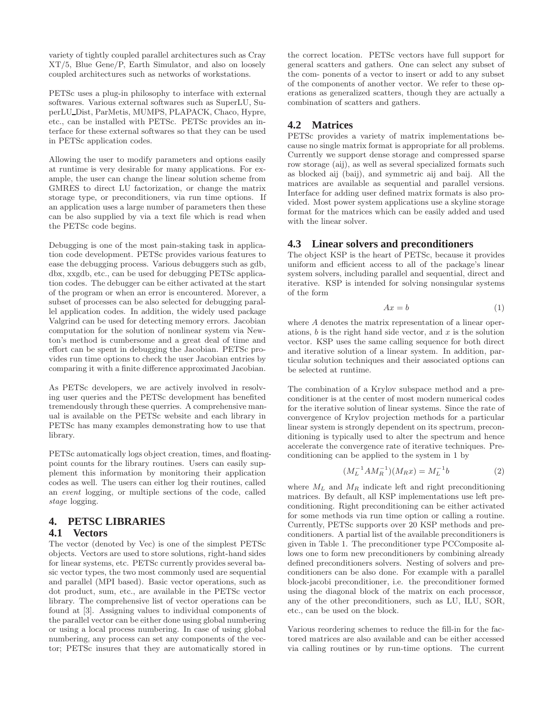variety of tightly coupled parallel architectures such as Cray XT/5, Blue Gene/P, Earth Simulator, and also on loosely coupled architectures such as networks of workstations.

PETSc uses a plug-in philosophy to interface with external softwares. Various external softwares such as SuperLU, SuperLU Dist, ParMetis, MUMPS, PLAPACK, Chaco, Hypre, etc., can be installed with PETSc. PETSc provides an interface for these external softwares so that they can be used in PETSc application codes.

Allowing the user to modify parameters and options easily at runtime is very desirable for many applications. For example, the user can change the linear solution scheme from GMRES to direct LU factorization, or change the matrix storage type, or preconditioners, via run time options. If an application uses a large number of parameters then these can be also supplied by via a text file which is read when the PETSc code begins.

Debugging is one of the most pain-staking task in application code development. PETSc provides various features to ease the debugging process. Various debuggers such as gdb, dbx, xxgdb, etc., can be used for debugging PETSc application codes. The debugger can be either activated at the start of the program or when an error is encountered. Morever, a subset of processes can be also selected for debugging parallel application codes. In addition, the widely used package Valgrind can be used for detecting memory errors. Jacobian computation for the solution of nonlinear system via Newton's method is cumbersome and a great deal of time and effort can be spent in debugging the Jacobian. PETSc provides run time options to check the user Jacobian entries by comparing it with a finite difference approximated Jacobian.

As PETSc developers, we are actively involved in resolving user queries and the PETSc development has benefited tremendously through these querries. A comprehensive manual is available on the PETSc website and each library in PETSc has many examples demonstrating how to use that library.

PETSc automatically logs object creation, times, and floatingpoint counts for the library routines. Users can easily supplement this information by monitoring their application codes as well. The users can either log their routines, called an event logging, or multiple sections of the code, called stage logging.

### **4. PETSC LIBRARIES 4.1 Vectors**

The vector (denoted by Vec) is one of the simplest PETSc objects. Vectors are used to store solutions, right-hand sides for linear systems, etc. PETSc currently provides several basic vector types, the two most commonly used are sequential and parallel (MPI based). Basic vector operations, such as dot product, sum, etc., are available in the PETSc vector library. The comprehensive list of vector operations can be found at [3]. Assigning values to individual components of the parallel vector can be either done using global numbering or using a local process numbering. In case of using global numbering, any process can set any components of the vector; PETSc insures that they are automatically stored in the correct location. PETSc vectors have full support for general scatters and gathers. One can select any subset of the com- ponents of a vector to insert or add to any subset of the components of another vector. We refer to these operations as generalized scatters, though they are actually a combination of scatters and gathers.

### **4.2 Matrices**

PETSc provides a variety of matrix implementations because no single matrix format is appropriate for all problems. Currently we support dense storage and compressed sparse row storage (aij), as well as several specialized formats such as blocked aij (baij), and symmetric aij and baij. All the matrices are available as sequential and parallel versions. Interface for adding user defined matrix formats is also provided. Most power system applications use a skyline storage format for the matrices which can be easily added and used with the linear solver.

### **4.3 Linear solvers and preconditioners**

The object KSP is the heart of PETSc, because it provides uniform and efficient access to all of the package's linear system solvers, including parallel and sequential, direct and iterative. KSP is intended for solving nonsingular systems of the form

$$
Ax = b \tag{1}
$$

where A denotes the matrix representation of a linear operations,  $b$  is the right hand side vector, and  $x$  is the solution vector. KSP uses the same calling sequence for both direct and iterative solution of a linear system. In addition, particular solution techniques and their associated options can be selected at runtime.

The combination of a Krylov subspace method and a preconditioner is at the center of most modern numerical codes for the iterative solution of linear systems. Since the rate of convergence of Krylov projection methods for a particular linear system is strongly dependent on its spectrum, preconditioning is typically used to alter the spectrum and hence accelerate the convergence rate of iterative techniques. Preconditioning can be applied to the system in 1 by

$$
(M_L^{-1}AM_R^{-1})(M_Rx) = M_L^{-1}b \tag{2}
$$

where  $M_L$  and  $M_R$  indicate left and right preconditioning matrices. By default, all KSP implementations use left preconditioning. Right preconditioning can be either activated for some methods via run time option or calling a routine. Currently, PETSc supports over 20 KSP methods and preconditioners. A partial list of the available preconditioners is given in Table 1. The preconditioner type PCComposite allows one to form new preconditioners by combining already defined preconditioners solvers. Nesting of solvers and preconditioners can be also done. For example with a parallel block-jacobi preconditioner, i.e. the preconditioner formed using the diagonal block of the matrix on each processor, any of the other preconditioners, such as LU, ILU, SOR, etc., can be used on the block.

Various reordering schemes to reduce the fill-in for the factored matrices are also available and can be either accessed via calling routines or by run-time options. The current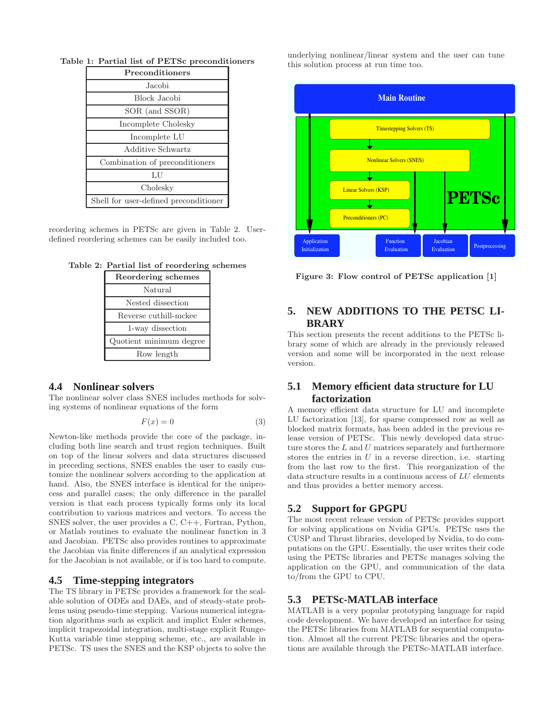| Preconditioners                       |  |  |  |  |
|---------------------------------------|--|--|--|--|
| Jacobi                                |  |  |  |  |
| Block Jacobi                          |  |  |  |  |
| SOR (and SSOR)                        |  |  |  |  |
| Incomplete Cholesky                   |  |  |  |  |
| Incomplete LU                         |  |  |  |  |
| Additive Schwartz                     |  |  |  |  |
| Combination of preconditioners        |  |  |  |  |
| LU                                    |  |  |  |  |
| Cholesky                              |  |  |  |  |
| Shell for user-defined preconditioner |  |  |  |  |

Table 1: Partial list of PETSc preconditioners

reordering schemes in PETSc are given in Table 2. Userdefined reordering schemes can be easily included too.

|  |  |  |  | Table 2: Partial list of reordering schemes |  |
|--|--|--|--|---------------------------------------------|--|
|--|--|--|--|---------------------------------------------|--|

| Reordering schemes      |  |  |  |  |
|-------------------------|--|--|--|--|
| Natural                 |  |  |  |  |
| Nested dissection       |  |  |  |  |
| Reverse cuthill-mckee   |  |  |  |  |
| 1-way dissection        |  |  |  |  |
| Quotient minimum degree |  |  |  |  |
| Row length              |  |  |  |  |

#### **4.4 Nonlinear solvers**

The nonlinear solver class SNES includes methods for solving systems of nonlinear equations of the form

$$
F(x) = 0 \tag{3}
$$

Newton-like methods provide the core of the package, including both line search and trust region techniques. Built on top of the linear solvers and data structures discussed in preceding sections, SNES enables the user to easily customize the nonlinear solvers according to the application at hand. Also, the SNES interface is identical for the uniprocess and parallel cases; the only difference in the parallel version is that each process typically forms only its local contribution to various matrices and vectors. To access the SNES solver, the user provides a C, C++, Fortran, Python, or Matlab routines to evaluate the nonlinear function in 3 and Jacobian. PETSc also provides routines to approximate the Jacobian via finite differences if an analytical expression for the Jacobian is not available, or if is too hard to compute.

#### **4.5 Time-stepping integrators**

The TS library in PETSc provides a framework for the scalable solution of ODEs and DAEs, and of steady-state problems using pseudo-time stepping. Various numerical integration algorithms such as explicit and implict Euler schemes, implicit trapezoidal integration, multi-stage explicit Runge-Kutta variable time stepping scheme, etc., are available in PETSc. TS uses the SNES and the KSP objects to solve the

underlying nonlinear/linear system and the user can tune this solution process at run time too.



Figure 3: Flow control of PETSc application [1]

### **5. NEW ADDITIONS TO THE PETSC LI-BRARY**

This section presents the recent additions to the PETSc library some of which are already in the previously released version and some will be incorporated in the next release version.

### **5.1 Memory efficient data structure for LU factorization**

A memory efficient data structure for LU and incomplete LU factorization [13], for sparse compressed row as well as blocked matrix formats, has been added in the previous release version of PETSc. This newly developed data structure stores the  $L$  and  $U$  matrices separately and furthermore stores the entries in  $U$  in a reverse direction, i.e. starting from the last row to the first. This reorganization of the data structure results in a continuous access of LU elements and thus provides a better memory access.

#### **5.2 Support for GPGPU**

The most recent release version of PETSc provides support for solving applications on Nvidia GPUs. PETSc uses the CUSP and Thrust libraries, developed by Nvidia, to do computations on the GPU. Essentially, the user writes their code using the PETSc libraries and PETSc manages solving the application on the GPU, and communication of the data to/from the GPU to CPU.

### **5.3 PETSc-MATLAB interface**

MATLAB is a very popular prototyping language for rapid code development. We have developed an interface for using the PETSc libraries from MATLAB for sequential computation. Almost all the current PETSc libraries and the operations are available through the PETSc-MATLAB interface.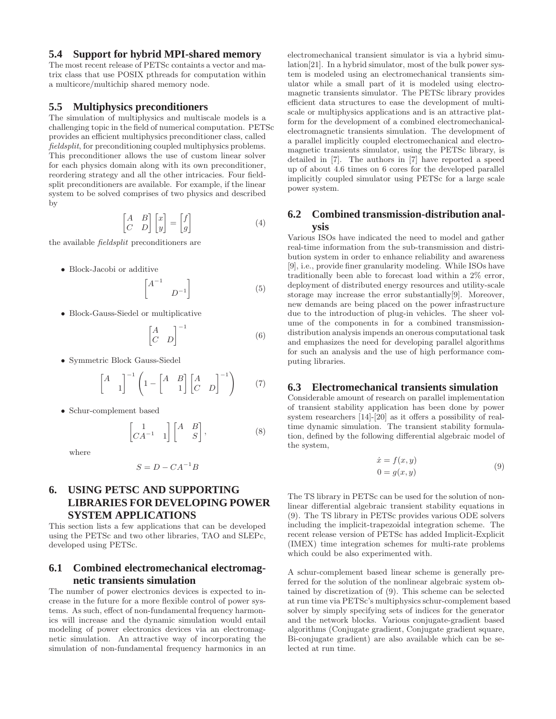### **5.4 Support for hybrid MPI-shared memory**

The most recent release of PETSc containts a vector and matrix class that use POSIX pthreads for computation within a multicore/multichip shared memory node.

### **5.5 Multiphysics preconditioners**

The simulation of multiphysics and multiscale models is a challenging topic in the field of numerical computation. PETSc provides an efficient multiphysics preconditioner class, called fieldsplit, for preconditioning coupled multiphysics problems. This preconditioner allows the use of custom linear solver for each physics domain along with its own preconditioner, reordering strategy and all the other intricacies. Four fieldsplit preconditioners are available. For example, if the linear system to be solved comprises of two physics and described by

$$
\begin{bmatrix} A & B \\ C & D \end{bmatrix} \begin{bmatrix} x \\ y \end{bmatrix} = \begin{bmatrix} f \\ g \end{bmatrix}
$$
 (4)

the available fieldsplit preconditioners are

• Block-Jacobi or additive

$$
\begin{bmatrix} A^{-1} & & \\ & D^{-1} \end{bmatrix} \tag{5}
$$

• Block-Gauss-Siedel or multiplicative

$$
\begin{bmatrix} A & D \end{bmatrix}^{-1} \tag{6}
$$

• Symmetric Block Gauss-Siedel

$$
\begin{bmatrix} A & 1 \end{bmatrix}^{-1} \left( 1 - \begin{bmatrix} A & B \ 1 & 1 \end{bmatrix} \begin{bmatrix} A & 1 \ C & D \end{bmatrix}^{-1} \right) \tag{7}
$$

• Schur-complement based

$$
\begin{bmatrix} 1 & 1 \\ CA^{-1} & 1 \end{bmatrix} \begin{bmatrix} A & B \\ & S \end{bmatrix}, \tag{8}
$$

where

$$
S=D-CA^{-1}B\\
$$

# **6. USING PETSC AND SUPPORTING LIBRARIES FOR DEVELOPING POWER SYSTEM APPLICATIONS**

This section lists a few applications that can be developed using the PETSc and two other libraries, TAO and SLEPc, developed using PETSc.

### **6.1 Combined electromechanical electromagnetic transients simulation**

The number of power electronics devices is expected to increase in the future for a more flexible control of power systems. As such, effect of non-fundamental frequency harmonics will increase and the dynamic simulation would entail modeling of power electronics devices via an electromagnetic simulation. An attractive way of incorporating the simulation of non-fundamental frequency harmonics in an electromechanical transient simulator is via a hybrid simulation[21]. In a hybrid simulator, most of the bulk power system is modeled using an electromechanical transients simulator while a small part of it is modeled using electromagnetic transients simulator. The PETSc library provides efficient data structures to ease the development of multiscale or multiphysics applications and is an attractive platform for the development of a combined electromechanicalelectromagnetic transients simulation. The development of a parallel implicitly coupled electromechanical and electromagnetic transients simulator, using the PETSc library, is detailed in [7]. The authors in [7] have reported a speed up of about 4.6 times on 6 cores for the developed parallel implicitly coupled simulator using PETSc for a large scale power system.

### **6.2 Combined transmission-distribution analysis**

Various ISOs have indicated the need to model and gather real-time information from the sub-transmission and distribution system in order to enhance reliability and awareness [9], i.e., provide finer granularity modeling. While ISOs have traditionally been able to forecast load within a 2% error, deployment of distributed energy resources and utility-scale storage may increase the error substantially[9]. Moreover, new demands are being placed on the power infrastructure due to the introduction of plug-in vehicles. The sheer volume of the components in for a combined transmissiondistribution analysis impends an onerous computational task and emphasizes the need for developing parallel algorithms for such an analysis and the use of high performance computing libraries.

#### **6.3 Electromechanical transients simulation**

Considerable amount of research on parallel implementation of transient stability application has been done by power system researchers [14]-[20] as it offers a possibility of realtime dynamic simulation. The transient stability formulation, defined by the following differential algebraic model of the system,

$$
\begin{aligned}\n\dot{x} &= f(x, y) \\
0 &= g(x, y)\n\end{aligned} \tag{9}
$$

The TS library in PETSc can be used for the solution of nonlinear differential algebraic transient stability equations in (9). The TS library in PETSc provides various ODE solvers including the implicit-trapezoidal integration scheme. The recent release version of PETSc has added Implicit-Explicit (IMEX) time integration schemes for multi-rate problems which could be also experimented with.

A schur-complement based linear scheme is generally preferred for the solution of the nonlinear algebraic system obtained by discretization of (9). This scheme can be selected at run time via PETSc's multiphysics schur-complement based solver by simply specifying sets of indices for the generator and the network blocks. Various conjugate-gradient based algorithms (Conjugate gradient, Conjugate gradient square, Bi-conjugate gradient) are also available which can be selected at run time.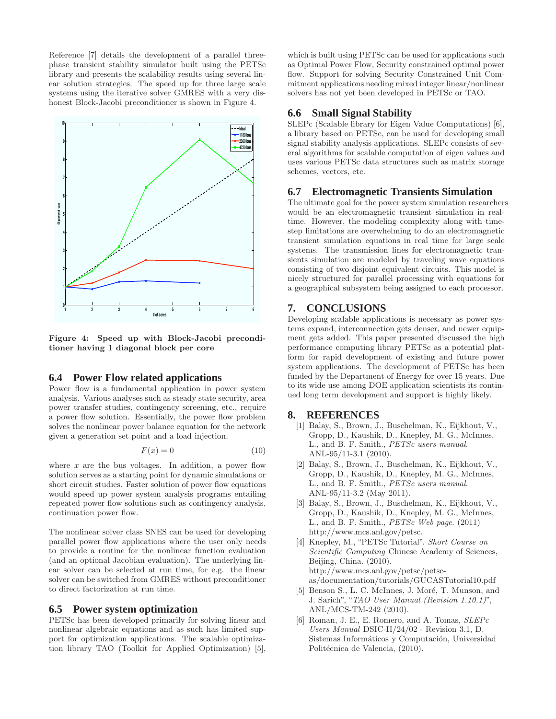Reference [7] details the development of a parallel threephase transient stability simulator built using the PETSc library and presents the scalability results using several linear solution strategies. The speed up for three large scale systems using the iterative solver GMRES with a very dishonest Block-Jacobi preconditioner is shown in Figure 4.



Figure 4: Speed up with Block-Jacobi preconditioner having 1 diagonal block per core

#### **6.4 Power Flow related applications**

Power flow is a fundamental application in power system analysis. Various analyses such as steady state security, area power transfer studies, contingency screening, etc., require a power flow solution. Essentially, the power flow problem solves the nonlinear power balance equation for the network given a generation set point and a load injection.

$$
F(x) = 0\tag{10}
$$

where  $x$  are the bus voltages. In addition, a power flow solution serves as a starting point for dynamic simulations or short circuit studies. Faster solution of power flow equations would speed up power system analysis programs entailing repeated power flow solutions such as contingency analysis, continuation power flow.

The nonlinear solver class SNES can be used for developing parallel power flow applications where the user only needs to provide a routine for the nonlinear function evaluation (and an optional Jacobian evaluation). The underlying linear solver can be selected at run time, for e.g. the linear solver can be switched from GMRES without preconditioner to direct factorization at run time.

### **6.5 Power system optimization**

PETSc has been developed primarily for solving linear and nonlinear algebraic equations and as such has limited support for optimization applications. The scalable optimization library TAO (Toolkit for Applied Optimization) [5],

which is built using PETSc can be used for applications such as Optimal Power Flow, Security constrained optimal power flow. Support for solving Security Constrained Unit Commitment applications needing mixed integer linear/nonlinear solvers has not yet been developed in PETSc or TAO.

### **6.6 Small Signal Stability**

SLEPc (Scalable library for Eigen Value Computations) [6], a library based on PETSc, can be used for developing small signal stability analysis applications. SLEPc consists of several algorithms for scalable computation of eigen values and uses various PETSc data structures such as matrix storage schemes, vectors, etc.

#### **6.7 Electromagnetic Transients Simulation**

The ultimate goal for the power system simulation researchers would be an electromagnetic transient simulation in realtime. However, the modeling complexity along with timestep limitations are overwhelming to do an electromagnetic transient simulation equations in real time for large scale systems. The transmission lines for electromagnetic transients simulation are modeled by traveling wave equations consisting of two disjoint equivalent circuits. This model is nicely structured for parallel processing with equations for a geographical subsystem being assigned to each processor.

### **7. CONCLUSIONS**

Developing scalable applications is necessary as power systems expand, interconnection gets denser, and newer equipment gets added. This paper presented discussed the high performance computing library PETSc as a potential platform for rapid development of existing and future power system applications. The development of PETSc has been funded by the Department of Energy for over 15 years. Due to its wide use among DOE application scientists its continued long term development and support is highly likely.

## **8. REFERENCES**

- [1] Balay, S., Brown, J., Buschelman, K., Eijkhout, V., Gropp, D., Kaushik, D., Knepley, M. G., McInnes, L., and B. F. Smith., PETSc users manual. ANL-95/11-3.1 (2010).
- [2] Balay, S., Brown, J., Buschelman, K., Eijkhout, V., Gropp, D., Kaushik, D., Knepley, M. G., McInnes, L., and B. F. Smith., PETSc users manual. ANL-95/11-3.2 (May 2011).
- [3] Balay, S., Brown, J., Buschelman, K., Eijkhout, V., Gropp, D., Kaushik, D., Knepley, M. G., McInnes, L., and B. F. Smith., PETSc Web page. (2011) http://www.mcs.anl.gov/petsc.
- [4] Knepley, M., "PETSc Tutorial". Short Course on Scientific Computing Chinese Academy of Sciences, Beijing, China. (2010). http://www.mcs.anl.gov/petsc/petscas/documentation/tutorials/GUCASTutorial10.pdf
- [5] Benson S., L. C. McInnes, J. Moré, T. Munson, and J. Sarich", "TAO User Manual (Revision 1.10.1)", ANL/MCS-TM-242 (2010).
- [6] Roman, J. E., E. Romero, and A. Tomas, SLEPc Users Manual DSIC-II/24/02 - Revision 3.1, D. Sistemas Informáticos y Computación, Universidad Politécnica de Valencia, (2010).